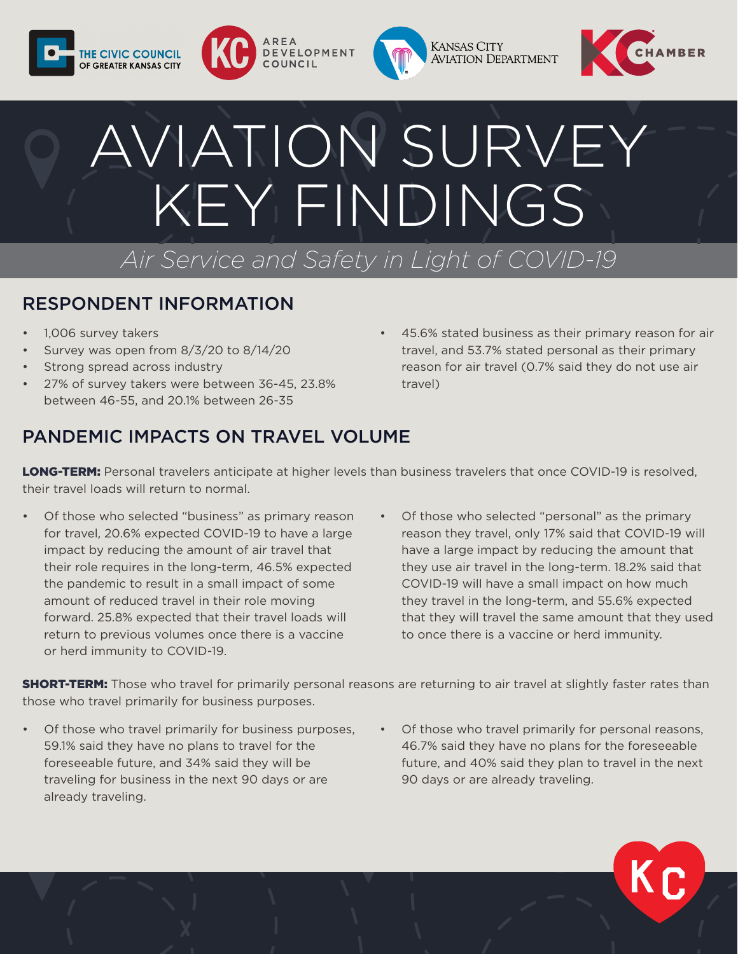







# AVIATION SURVEY KEY FINDINGS *Air Service and Safety in Light of COVID-19*

### RESPONDENT INFORMATION

- 1,006 survey takers
- Survey was open from 8/3/20 to 8/14/20
- Strong spread across industry
- 27% of survey takers were between 36-45, 23.8% between 46-55, and 20.1% between 26-35
- 45.6% stated business as their primary reason for air travel, and 53.7% stated personal as their primary reason for air travel (0.7% said they do not use air travel)

# PANDEMIC IMPACTS ON TRAVEL VOLUME

LONG-TERM: Personal travelers anticipate at higher levels than business travelers that once COVID-19 is resolved, their travel loads will return to normal.

- Of those who selected "business" as primary reason for travel, 20.6% expected COVID-19 to have a large impact by reducing the amount of air travel that their role requires in the long-term, 46.5% expected the pandemic to result in a small impact of some amount of reduced travel in their role moving forward. 25.8% expected that their travel loads will return to previous volumes once there is a vaccine or herd immunity to COVID-19.
- Of those who selected "personal" as the primary reason they travel, only 17% said that COVID-19 will have a large impact by reducing the amount that they use air travel in the long-term. 18.2% said that COVID-19 will have a small impact on how much they travel in the long-term, and 55.6% expected that they will travel the same amount that they used to once there is a vaccine or herd immunity.

**SHORT-TERM:** Those who travel for primarily personal reasons are returning to air travel at slightly faster rates than those who travel primarily for business purposes.

- Of those who travel primarily for business purposes, 59.1% said they have no plans to travel for the foreseeable future, and 34% said they will be traveling for business in the next 90 days or are already traveling.
- Of those who travel primarily for personal reasons, 46.7% said they have no plans for the foreseeable future, and 40% said they plan to travel in the next 90 days or are already traveling.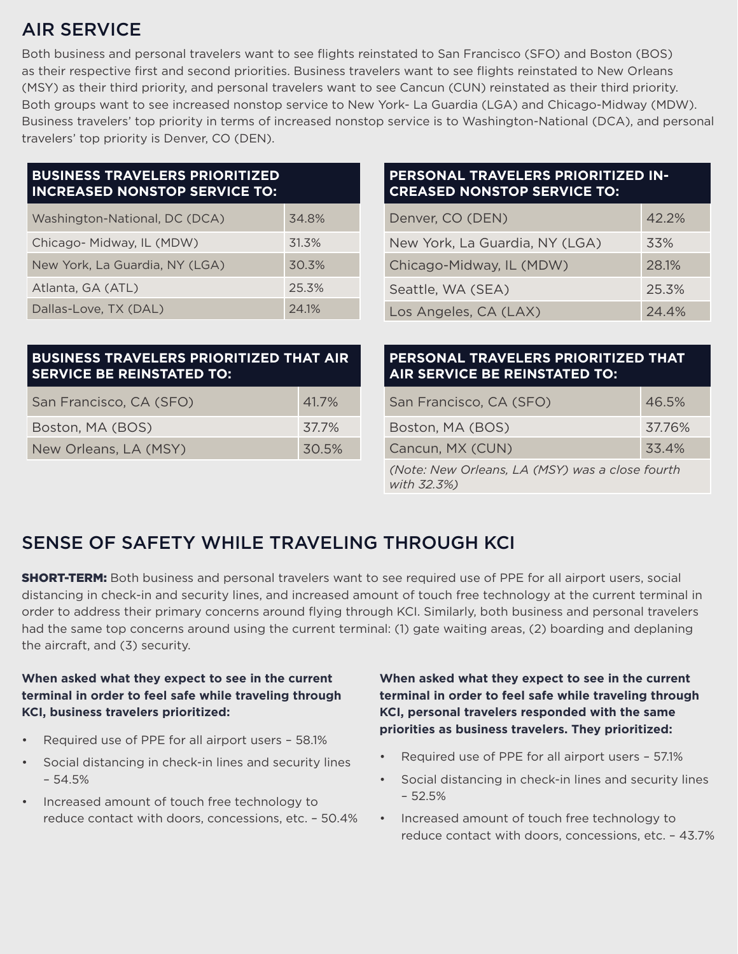# AIR SERVICE

Both business and personal travelers want to see flights reinstated to San Francisco (SFO) and Boston (BOS) as their respective first and second priorities. Business travelers want to see flights reinstated to New Orleans (MSY) as their third priority, and personal travelers want to see Cancun (CUN) reinstated as their third priority. Both groups want to see increased nonstop service to New York- La Guardia (LGA) and Chicago-Midway (MDW). Business travelers' top priority in terms of increased nonstop service is to Washington-National (DCA), and personal travelers' top priority is Denver, CO (DEN).

| <b>BUSINESS TRAVELERS PRIORITIZED</b><br><b>INCREASED NONSTOP SERVICE TO:</b>      |                                                                      | <b>PERSONAL TRAVELERS PRIORITIZED IN-</b><br><b>CREASED NONSTOP SERVICE TO:</b> |
|------------------------------------------------------------------------------------|----------------------------------------------------------------------|---------------------------------------------------------------------------------|
| Washington-National, DC (DCA)                                                      | 34.8%                                                                | 42.2%<br>Denver, CO (DEN)                                                       |
| Chicago-Midway, IL (MDW)                                                           | 31.3%                                                                | New York, La Guardia, NY (LGA)<br>33%                                           |
| New York, La Guardia, NY (LGA)                                                     | 30.3%                                                                | 28.1%<br>Chicago-Midway, IL (MDW)                                               |
| Atlanta, GA (ATL)                                                                  | 25.3%                                                                | Seattle, WA (SEA)<br>25.3%                                                      |
| Dallas-Love, TX (DAL)                                                              | 24.1%                                                                | Los Angeles, CA (LAX)<br>24.4%                                                  |
|                                                                                    |                                                                      |                                                                                 |
| <b>BUSINESS TRAVELERS PRIORITIZED THAT AIR</b><br><b>SERVICE BE REINSTATED TO:</b> | PERSONAL TRAVELERS PRIORITIZED THAT<br>AIR SERVICE BE REINSTATED TO: |                                                                                 |

| San Francisco, CA (SFO) | 41.7% |
|-------------------------|-------|
| Boston, MA (BOS)        | 37.7% |
| New Orleans, LA (MSY)   | 30.5% |

# **AIR SERVICE BE REINSTATED TO:**

| San Francisco, CA (SFO)                                        | 46.5%  |  |
|----------------------------------------------------------------|--------|--|
| Boston, MA (BOS)                                               | 37.76% |  |
| Cancun, MX (CUN)                                               | 33.4%  |  |
| (Note: New Orleans, LA (MSY) was a close fourth<br>with 32.3%) |        |  |

## SENSE OF SAFETY WHILE TRAVELING THROUGH KCI

**SHORT-TERM:** Both business and personal travelers want to see required use of PPE for all airport users, social distancing in check-in and security lines, and increased amount of touch free technology at the current terminal in order to address their primary concerns around flying through KCI. Similarly, both business and personal travelers had the same top concerns around using the current terminal: (1) gate waiting areas, (2) boarding and deplaning the aircraft, and (3) security.

#### **When asked what they expect to see in the current terminal in order to feel safe while traveling through KCI, business travelers prioritized:**

- Required use of PPE for all airport users 58.1%
- Social distancing in check-in lines and security lines – 54.5%
- Increased amount of touch free technology to reduce contact with doors, concessions, etc. – 50.4%

**When asked what they expect to see in the current terminal in order to feel safe while traveling through KCI, personal travelers responded with the same priorities as business travelers. They prioritized:** 

- Required use of PPE for all airport users 57.1%
- Social distancing in check-in lines and security lines – 52.5%
- Increased amount of touch free technology to reduce contact with doors, concessions, etc. – 43.7%